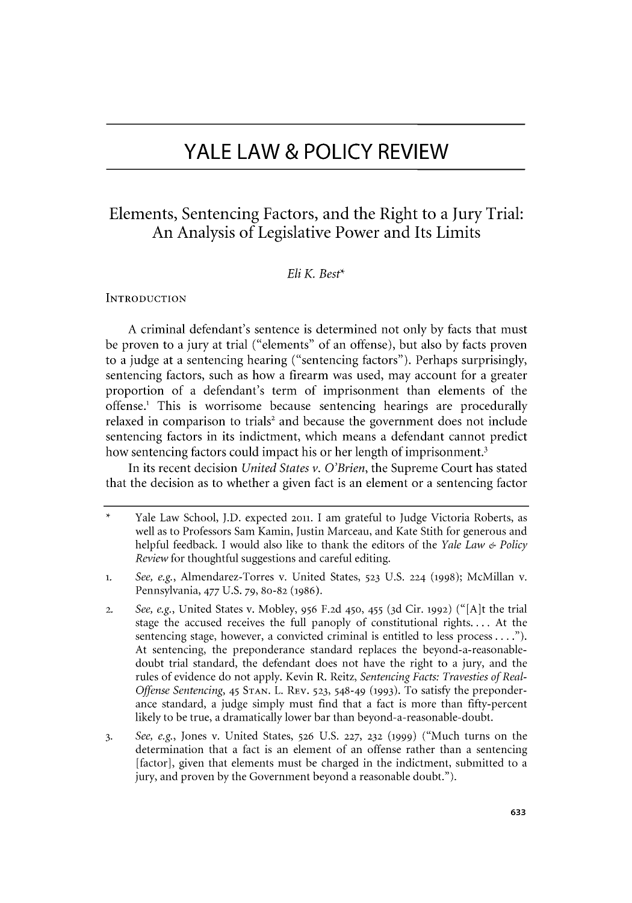## Elements, Sentencing Factors, and the Right to a Jury Trial: An Analysis of Legislative Power and Its Limits

## *Eli K. Best\**

## **INTRODUCTION**

**A** criminal defendant's sentence is determined not only **by** facts that must **be** proven to a jury at trial ("elements" of an offense), but also **by** facts proven to a **judge** at a sentencing hearing ("sentencing factors"). Perhaps surprisingly, sentencing factors, such as how a firearm was used, may account for a greater proportion of a defendant's term of imprisonment than elements of the offense.1 This is worrisome because sentencing hearings are procedurally relaxed in comparison to trials' and because the government does not include sentencing factors in its indictment, which means a defendant cannot predict how sentencing factors could impact his or her length of imprisonment.<sup>3</sup>

In its recent decision *United States v. O'Brien,* the Supreme Court has stated that the decision as to whether a given fact is an element or a sentencing factor

- **1.** *See, e.g.,* Almendarez-Torres v. United States, **523 U.S. 224 (1998);** McMillan v. Pennsylvania, **477 U.S. 79, 80-82 (1986).**
- **2.** *See, e.g.,* United States v. Mobley, **956 F.2d 450,** 455 **(3d** Cir. **1992)** ("[A]t the trial stage the accused receives the full panoply of constitutional rights. . . **.** At the sentencing stage, however, a convicted criminal is entitled to less process **. . . .").** At sentencing, the preponderance standard replaces the beyond-a-reasonabledoubt trial standard, the defendant does not have the right to a jury, and the rules of evidence do not apply. Kevin R. Reitz, *Sentencing Facts: Travesties of Real-Offense Sentencing,* 45 **STAN.** L. **REV. 523,** 548-49 **(1993).** To satisfy the preponderance standard, a judge simply must find that a fact is more than fifty-percent likely to be true, a dramatically lower bar than beyond-a-reasonable-doubt.
- 3. *See, e.g.,* Jones v. United States, **526 U.S. 227, 232 (1999)** ("Much turns on the determination that a fact is an element of an offense rather than a sentencing [factor], given that elements must be charged in the indictment, submitted to a jury, and proven **by** the Government beyond a reasonable doubt.").

Yale Law School, **J.D.** expected **2011.** I am grateful to Judge Victoria Roberts, as well as to Professors Sam Kamin, Justin Marceau, and Kate Stith for generous and helpful feedback. **I** would also like to thank the editors of the *Yale Law & Policy Review* for thoughtful suggestions and careful editing.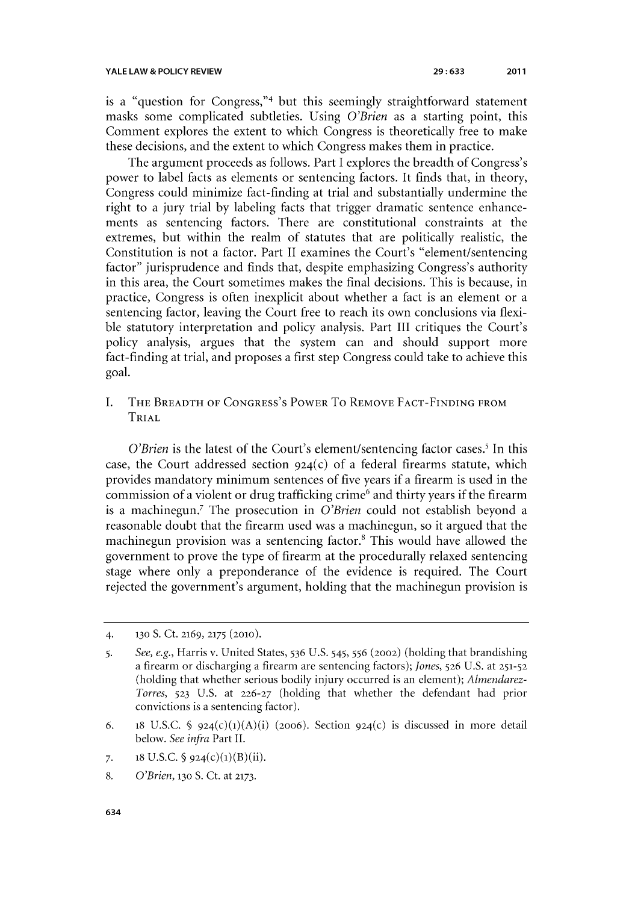is a "question for Congress,"4 but this seemingly straightforward statement masks some complicated subtleties. Using *O'Brien* as a starting point, this Comment explores the extent to which Congress is theoretically free to make these decisions, and the extent to which Congress makes them in practice.

The argument proceeds as follows. Part **I** explores the breadth of Congress's power to label facts as elements or sentencing factors. It finds that, in theory, Congress could minimize fact-finding at trial and substantially undermine the right to a jury trial **by** labeling facts that trigger dramatic sentence enhancements as sentencing factors. There are constitutional constraints at the extremes, but within the realm of statutes that are politically realistic, the Constitution is not a factor. Part II examines the Court's "element/sentencing factor" jurisprudence and finds that, despite emphasizing Congress's authority in this area, the Court sometimes makes the final decisions. This is because, in practice, Congress is often inexplicit about whether a fact is an element or a sentencing factor, leaving the Court free to reach its own conclusions via flexi**ble** statutory interpretation and policy analysis. Part **III** critiques the Court's policy analysis, argues that the system can and should support more fact-finding at trial, and proposes a first step Congress could take to achieve this goal.

**I. THE BREADTH OF CONGRESS'S POWER** To **REMOVE FACT-FINDING FROM TRIAL**

*O'Brien* is the latest of the Court's element/sentencing factor cases.<sup>5</sup> In this case, the Court addressed section **924(c)** of a federal firearms statute, which provides mandatory minimum sentences of five years if a firearm is used in the commission of a violent or drug trafficking crime<sup>6</sup> and thirty years if the firearm is a machinegun.<sup>7</sup> The prosecution in *O'Brien* could not establish beyond a reasonable doubt that the firearm used was a machinegun, so it argued that the machinegun provision was a sentencing factor. $\delta$  This would have allowed the government to prove the type of firearm at the procedurally relaxed sentencing stage where only a preponderance of the evidence is required. The Court rejected the government's argument, holding that the machinegun provision is

**7. 18 U.S.C. § 924(c)(1)** (B)(ii).

**8.** *O'Brien, 130* **S.** Ct. **at 2173.**

<sup>4.</sup> **130 S.** Ct. **2169, 2175 (2010).**

**<sup>5.</sup>** See, *e.g.,* Harris v. United States, **536 U.S. 545, 556 (2002)** (holding that brandishing a **firearm** or discharging a **firearm** are sentencing factors); *Jones,* **526 U.S.** at **251-52** (holding that whether serious bodily injury occurred is an element); *Almendarez-Torres,* **523 U.S.** at **226-27** (holding that whether the defendant had **prior** convictions is a sentencing factor).

**<sup>6.</sup> 18 U.S.C. § 924(c)(1)(A)(i) (20o6).** Section **924(c)** is discussed in more detail below. *See infra* Part II.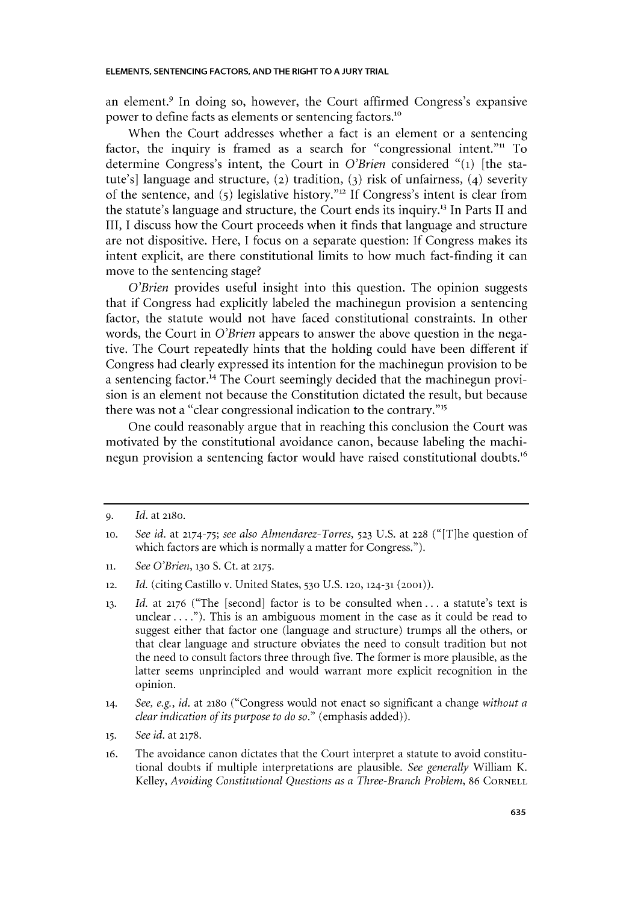an element.<sup>9</sup> In doing so, however, the Court affirmed Congress's expansive power to define facts as elements or sentencing factors.<sup>10</sup>

When the Court addresses whether a fact is an element or a sentencing factor, the inquiry is framed as a search for "congressional intent."" To determine Congress's intent, the Court in *O'Brien* considered **"(1)** [the statute's] language and structure, (2) tradition, **(3)** risk of unfairness, (4) severity of the sentence, and **(5)** legislative history."'" **If** Congress's intent is clear from the statute's language and structure, the Court ends its inquiry.13 In Parts II and III, I discuss how the Court proceeds when it finds that language and structure are not dispositive. Here, **I** focus on a separate question: **If** Congress makes its intent explicit, are there constitutional limits to how much fact-finding it can move to the sentencing stage?

*O'Brien* provides useful insight into this question. The opinion suggests that if Congress had explicitly labeled the machinegun provision a sentencing factor, the statute would not have faced constitutional constraints. In other words, the Court in *O'Brien* appears to answer the above question in the negative. The Court repeatedly hints that the holding could have been different if Congress had clearly expressed its intention for the machinegun provision to be a sentencing factor.<sup>14</sup> The Court seemingly decided that the machinegun provision is an element not because the Constitution dictated the result, but because there was not a "clear congressional indication to the contrary.""

One could reasonably argue that in reaching this conclusion the Court was motivated **by** the constitutional avoidance canon, because labeling the machinegun provision a sentencing factor would have raised constitutional doubts.<sup>16</sup>

- **11.** *See O'Brien, 130* **S.** Ct. at **2175.**
- **12.** *Id.* (citing Castillo v. United States, **530 U.S. 120, 124-31 (2001)).**
- **13.** *Id. at* **2176** ("The [second] factor is to be consulted when **...** a statute's text is unclear. **. . .").** This is an ambiguous moment in the case as it could be read to suggest either that factor one (language and structure) trumps all the others, or that clear language and structure obviates the need to consult tradition but not the need to consult factors three through five. The former is more plausible, as the latter seems unprincipled and would warrant more explicit recognition in the opinion.
- **14.** *See, e.g., id. at* **2180** ("Congress would not enact so significant a change *without a clear indication of its purpose to do so."* (emphasis added)).
- **15.** *See id.* at **2178.**
- 16. The avoidance canon dictates that the Court interpret a statute to avoid constitutional doubts if multiple interpretations are plausible. *See generally* William K. *Kelley, Avoiding Constitutional Questions as a Three-Branch Problem,* **86 CORNELL**

**<sup>9.</sup>** *Id. at* **2180.**

**<sup>10.</sup>** *See id. at* **2174-75;** *see also Almendarez- Torres,* **523 U.S.** at **228** ("[T]he question of which factors are which is normally a matter for Congress.").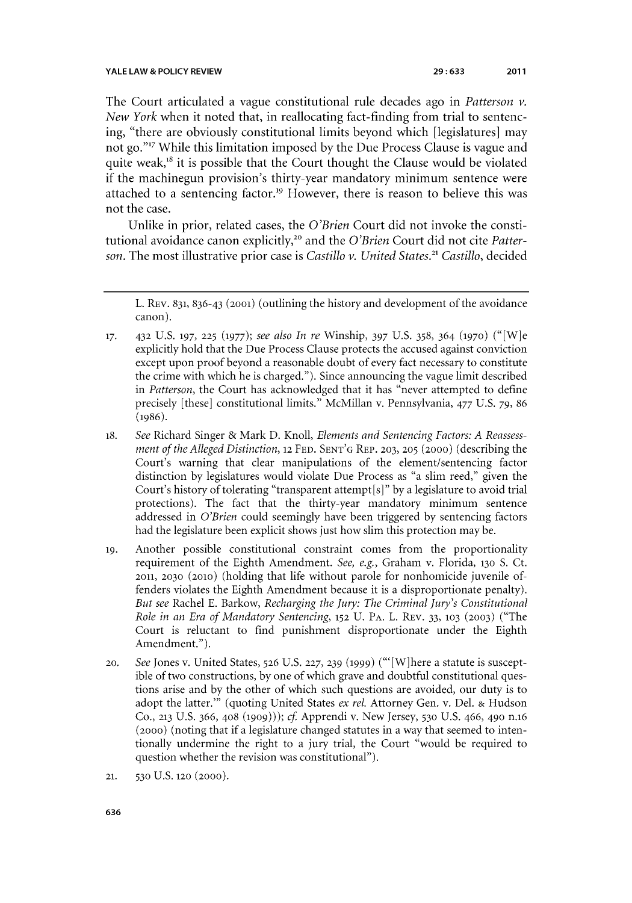The Court articulated a vague constitutional rule decades ago in *Patterson v. New York* when it noted that, in reallocating fact-finding from trial to sentencing, "there are obviously constitutional limits beyond which [legislatures] may not go."" While this limitation imposed **by** the Due Process Clause is vague and quite weak, $<sup>18</sup>$  it is possible that the Court thought the Clause would be violated</sup> if the machinegun provision's thirty-year mandatory minimum sentence were attached to a sentencing factor.<sup>19</sup> However, there is reason to believe this was not the case.

Unlike in prior, related cases, the *O'Brien* Court did not invoke the constitutional avoidance canon explicitly,<sup>20</sup> and the O'Brien Court did not cite Patter*son.* The most illustrative prior case is *Castillo v. United States." Castillo, decided*

L. REV. **831, 836-43 (2001)** (outlining the history and development of the avoidance canon).

- **17. 432 U.S. 197, 225 (1977);** *see also In re* Winship, **397 U.S. 358,** 364 **(1970)** ("[W]e explicitly hold that the Due Process Clause protects the accused against conviction except upon proof beyond a reasonable doubt of every fact necessary to constitute the crime with which he is charged."). Since announcing the vague limit described *in Patterson,* the Court has acknowledged that it has "never attempted to define precisely [these] constitutional limits." McMillan v. Pennsylvania, **477 U.S. 79, 86** (1986).
- **18.** *See* Richard Singer **&** Mark **D.** Knoll, *Elements and Sentencing Factors: A Reassessment of the Alleged Distinction,* **12 FED. SENT'G** REP. **203, 205 (2000)** (describing the Court's warning that clear manipulations of the element/sentencing factor distinction **by** legislatures would violate Due Process as "a slim reed," given the Court's history of tolerating "transparent attempt [s]" **by** a legislature to avoid trial protections). The fact that the thirty-year mandatory minimum sentence addressed in *O'Brien* could seemingly have been triggered **by** sentencing factors had the legislature been explicit shows just how slim this protection may be.
- **19.** Another possible constitutional constraint comes from the proportionality requirement of the Eighth Amendment. *See, e.g.,* Graham v. Florida, **130 S.** Ct. **2011, 2030 (2010)** (holding that life without parole for nonhomicide juvenile offenders violates the Eighth Amendment because it is a disproportionate penalty). *But see* Rachel **E.** Barkow, *Recharging the Jury: The Criminal Jury's Constitutional Role in an Era of Mandatory Sentencing,* **152 U.** PA. L. REV. **33, 103 (2003)** ("The Court is reluctant to find punishment disproportionate under the Eighth Amendment.").
- **20.** *See* Jones v. United States, **526 U.S. 227, 239 (1999)** ("'[W]here a statute is susceptible of two constructions, **by** one of which grave and doubtful constitutional questions arise and **by** the other of which such questions are avoided, our duty is to adopt the latter."' (quoting United States *ex rel.* Attorney Gen. v. Del. **&** Hudson **CO., 213 U.S. 366,** 408 **(1909)));** *cf* Apprendi v. New Jersey, **530 U.S.** 466, **490** n.16 **(2000)** (noting that if a legislature changed statutes in a way that seemed to intentionally undermine the right to a jury trial, the Court "would be required to question whether the revision was constitutional").
- **21. 530 U.S. 120 (2000).**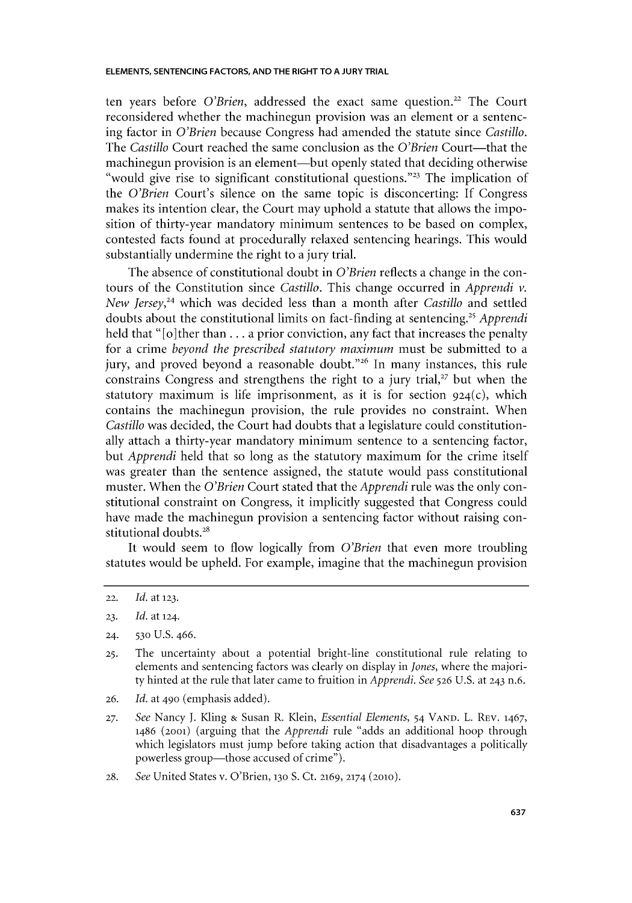ten years before *O'Brien*, addressed the exact same question.<sup>22</sup> The Court reconsidered whether the machinegun provision was an element or a sentencing factor in *O'Brien* because Congress had amended the statute since *Castillo. The Castillo* Court reached the same conclusion as the *O'Brien* Court-that the machinegun provision is an element—but openly stated that deciding otherwise "would give rise to significant constitutional questions."<sup>23</sup> The implication of *the O'Brien* Court's silence on the same topic is disconcerting: **If** Congress makes its intention clear, the Court may uphold a statute that allows the imposition of thirty-year mandatory minimum sentences to be based on **complex,** contested facts found at procedurally relaxed sentencing hearings. This would substantially undermine the right to a jury trial.

The absence of constitutional doubt in *O'Brien* reflects a change in the contours of the Constitution since *Castillo.* This change occurred in *Apprendi v. New Jersey*,<sup>24</sup> which was decided less than a month after *Castillo* and settled doubts about the constitutional limits on fact-finding at sentencing." *Apprendi* **held** that **"** [o]ther than **...** a prior conviction, any fact that increases the penalty for a crime *beyond the prescribed statutory maximum* must be submitted to a jury, and proved beyond a reasonable doubt."26 In many instances, this rule constrains Congress and strengthens the right to a jury trial, $27$  but when the statutory maximum is life imprisonment, as it is for section **924(c),** which contains the machinegun provision, the rule provides no constraint. When *Castillo* was decided, the Court had doubts that a legislature could constitutionally attach a thirty-year mandatory minimum sentence to a sentencing factor, but *Apprendi* held that so long as the statutory maximum for the crime itself was greater than the sentence assigned, the statute would pass constitutional muster. When the *O'Brien* Court stated that the *Apprendi* rule was the only constitutional constraint on Congress, it implicitly suggested that Congress could have made the machinegun provision a sentencing factor without raising constitutional doubts.

It would seem to flow logically from *O'Brien* that even more troubling statutes would be upheld. For example, imagine that the machinegun provision

- **26.** *Id. at* **490** (emphasis added).
- **27.** *See* Nancy **J.** Kling **&** Susan R. Klein, *Essential Elements,* 54 **VAND.** L. REV. 1467, 1486 **(2001)** (arguing that the *Apprendi* rule "adds an additional hoop through which legislators must jump before taking action that disadvantages a politically powerless group-those accused of crime").
- **28.** *See* United States v. O'Brien, **130 S.** Ct. **2169,** 2174 (2010).

**<sup>22.</sup>** *Id. at* **123.**

**<sup>23.</sup>** *Id.* at **124.**

**<sup>24. 530</sup> U.S.** 466.

**<sup>25.</sup>** The uncertainty about a potential bright-line constitutional rule relating to elements and sentencing factors was clearly on display in *Jones,* where the majority hinted at the rule that later came to fruition in *Apprendi. See* **526 U.S.** at **243** n.6.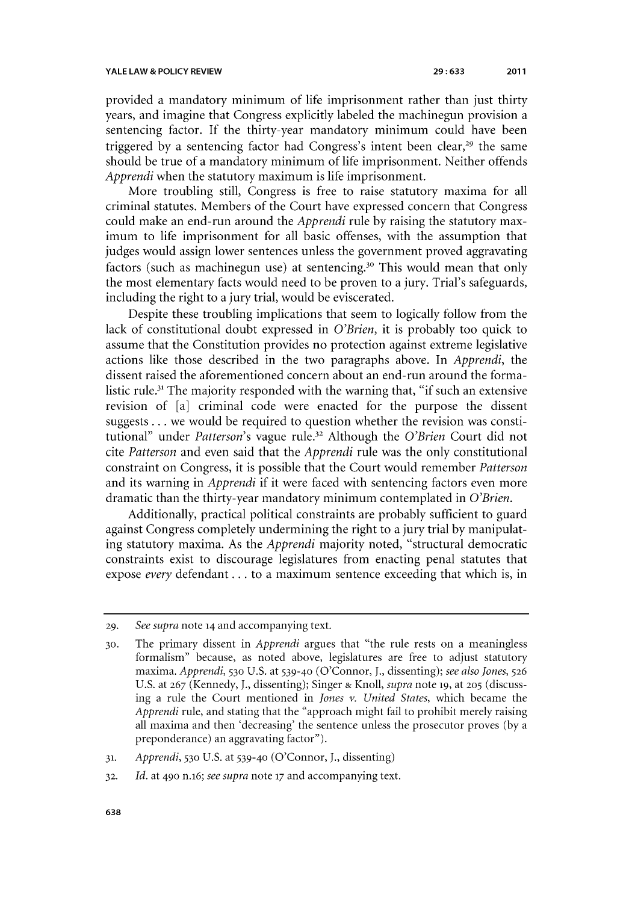provided a mandatory minimum of life imprisonment rather than just thirty years, and imagine that Congress explicitly labeled the machinegun provision a sentencing factor. **If** the thirty-year mandatory minimum could have been triggered by a sentencing factor had Congress's intent been clear,<sup>29</sup> the same should **be** true of a mandatory minimum of life imprisonment. Neither offends *Apprendi* when the statutory maximum is life imprisonment.

More troubling still, Congress is free to raise statutory maxima for all criminal statutes. Members of the Court have expressed concern that Congress could make an end-run around the *Apprendi* rule **by** raising the statutory maximum to life imprisonment for all basic offenses, with the assumption that judges would assign lower sentences unless the government proved aggravating factors (such as machinegun use) at sentencing.<sup>30</sup> This would mean that only the most elementary facts would need to be proven to a jury. Trial's safeguards, including the right to a jury trial, would **be** eviscerated.

Despite these troubling implications that seem to logically follow from the lack of constitutional doubt expressed in *O'Brien,* it is probably too quick to assume that the Constitution provides no protection against extreme legislative actions like those described in the two paragraphs above. In *Apprendi, the* dissent raised the aforementioned concern about an end-run around the formalistic rule.<sup>31</sup> The majority responded with the warning that, "if such an extensive revision of [a] criminal code were enacted for the purpose the dissent suggests **.** . **.** we would be required to question whether the revision was constitutional" under *Patterson's* vague rule.32 Although the *O'Brien* Court did not *cite Patterson* and even said that the *Apprendi* rule was the only constitutional constraint on Congress, it is possible that the Court would remember *Patterson* and its warning in *Apprendi* if it were faced with sentencing factors even more dramatic than the thirty-year mandatory minimum contemplated in *O'Brien.*

Additionally, practical political constraints are probably sufficient to guard against Congress completely undermining the right to a jury trial **by** manipulating statutory maxima. As the *Apprendi* majority noted, "structural democratic constraints exist to discourage legislatures from enacting penal statutes that expose *every* defendant **...** to a maximum sentence exceeding that which is, in

**<sup>29.</sup>** *See supra* note **14** and accompanying text.

**<sup>30.</sup>** The primary dissent in *Apprendi* argues that "the rule rests on a meaningless formalism" because, as noted above, legislatures are free to adjust statutory maxima. *Apprendi,* **530 U.S.** at **539-40** (O'Connor, **J.,** dissenting); *see also Jones,* **<sup>526</sup> U.S.** at **267** (Kennedy, **J.,** dissenting); Singer **&** *Knoll, supra* note **19,** at **205** (discussing a rule the Court mentioned in *Jones v. United States,* which became the *Apprendi* rule, and stating that the "approach might fail to prohibit merely raising all maxima and then 'decreasing' the sentence unless the prosecutor proves **(by** a preponderance) an aggravating factor").

**<sup>31.</sup>** *Apprendi,* **530 U.S.** at **539-40** (O'Connor, **J.,** dissenting)

**<sup>32.</sup>** *Id.* at **490** n.16; *see supra* note **17** and accompanying text.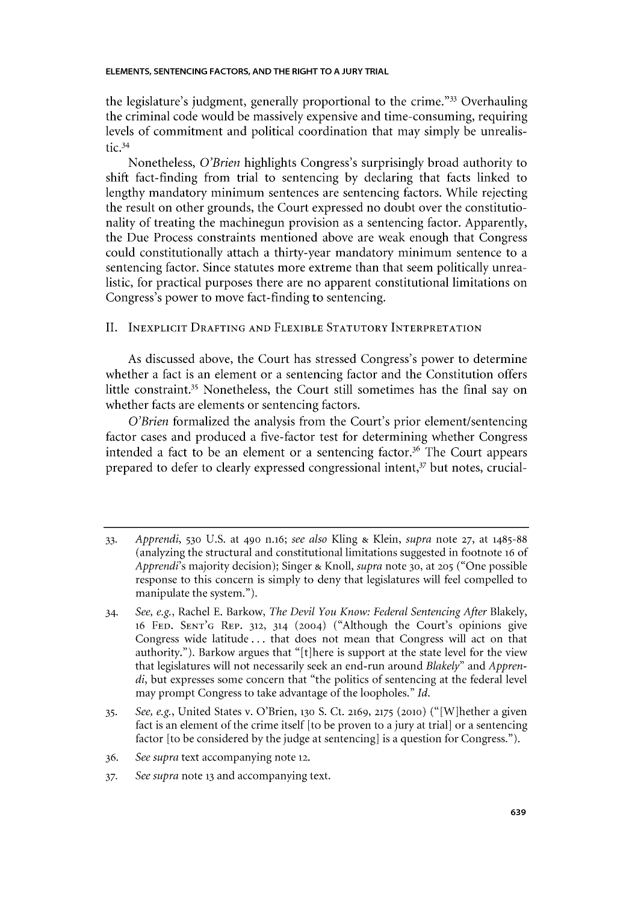## **ELEMENTS, SENTENCING FACTORS, AND THE RIGHT TO A JURY TRIAL**

the legislature's judgment, generally proportional to the crime."33 Overhauling the criminal code would be massively expensive and time-consuming, requiring levels of commitment and political coordination that may simply **be** unrealistic.<sup>34</sup>

Nonetheless, *O'Brien* highlights Congress's surprisingly broad authority to shift fact-finding from trial to sentencing **by** declaring that facts linked to lengthy mandatory minimum sentences are sentencing factors. While rejecting the result on other grounds, the Court expressed no doubt over the constitutionality of treating the machinegun provision as a sentencing factor. Apparently, the Due Process constraints mentioned above are weak enough that Congress could constitutionally attach a thirty-year mandatory minimum sentence to a sentencing factor. Since statutes more extreme than that seem politically unrealistic, for practical purposes there are no apparent constitutional limitations on Congress's power to move fact-finding to sentencing.

## **II. INEXPLICIT** DRAFTING **AND** FLEXIBLE STATUTORY INTERPRETATION

As discussed above, the Court has stressed Congress's power to determine whether a fact is an element or a sentencing factor and the Constitution offers little constraint.<sup>35</sup> Nonetheless, the Court still sometimes has the final say on whether facts are elements or sentencing factors.

*O'Brien* formalized the analysis from the Court's prior element/sentencing factor cases and produced a five-factor test for determining whether Congress intended a fact to **be** an element or a sentencing factor.36 The Court appears prepared to defer to clearly expressed congressional intent,<sup>37</sup> but notes, crucial-

- **36.** *See supra* text accompanying note **12.**
- **37.** *See supra* note **13** and accompanying text.

**<sup>33.</sup>** *Apprendi,* **530 U.S.** at **490** n.16; *see also* Kling **&** *Klein, supra* note **27,** *at* **1485-88** (analyzing the structural and constitutional limitations suggested in footnote **16** of *Apprendi's* majority decision); Singer **&** *Knoll, supra* note **30,** at **205** ("One possible response to this concern is simply to deny that legislatures will feel compelled to manipulate the system.").

<sup>34.</sup> *See, e.g.,* Rachel **E.** Barkow, *The Devil You Know: Federal Sentencing After* Blakely, **16 FED. SENT'G** REP. **312, 314 (2004)** ("Although the Court's opinions give Congress wide latitude **...** that does not mean that Congress will act on that authority."). Barkow argues that "[t]here is support at the state level for the view that legislatures will not necessarily seek an end-run around *Blakely" and Apprendi,* but expresses some concern that "the politics of sentencing at the federal level may prompt Congress to take advantage of the loopholes." *Id.*

**<sup>35.</sup>** *See, e.g.,* United States v. O'Brien, **<sup>130</sup>S.** Ct. 2169, **2175 (2010) ("** [W]hether a given fact is an element of the crime itself [to be proven to a jury at trial] or a sentencing factor [to be considered **by** the judge at sentencing] is a question for Congress.").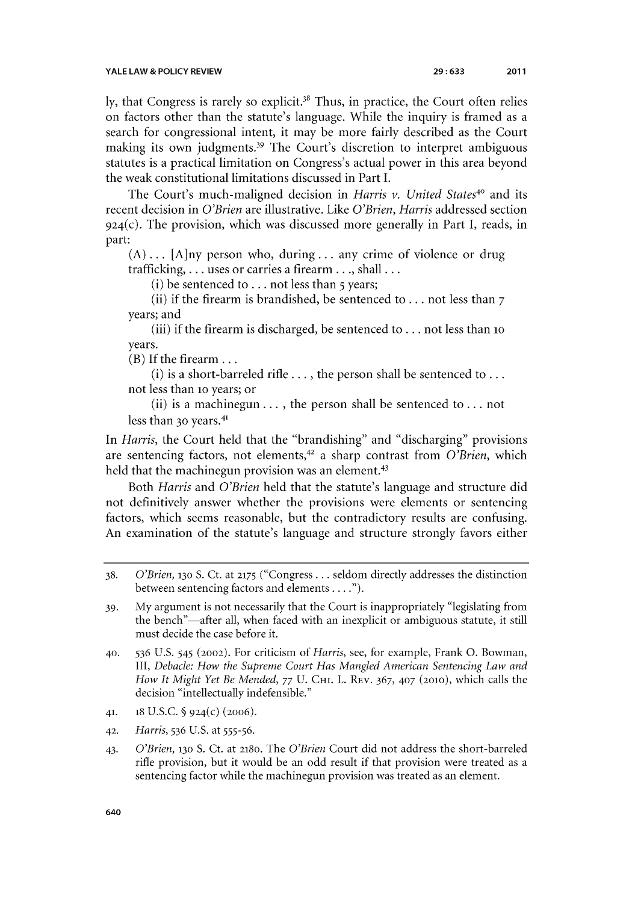ly, that Congress is rarely so explicit.<sup>38</sup> Thus, in practice, the Court often relies on factors other than the statute's language. While the inquiry is framed as a search for congressional intent, it may **be** more fairly described as the Court making its own judgments.<sup>39</sup> The Court's discretion to interpret ambiguous statutes is a practical limitation on Congress's actual power in this area beyond the weak constitutional limitations discussed in Part I.

The Court's much-maligned decision in *Harris v. United States4o* and its recent decision in *O'Brien* are illustrative. Like *O'Brien, Harris* addressed section 924(c). The provision, which was discussed more generally in Part **I,** reads, in part:

**(A) ...** [A]ny person who, during... any crime of violence or drug trafficking, **...** uses or carries a firearm **..** ., shall **...**

(i) be sentenced to **...** not less than *5* years;

(ii) if the firearm is brandished, **be** sentenced to **...** not less than **7** years; and

(iii) if the firearm is discharged, be sentenced to **...** not less than io years.

(B) **If** the firearm **...**

(i) is a short-barreled rifle **...** , the person shall be sentenced to **...** not less than io years; or

(ii) is a machinegun **. . . ,** the person shall be sentenced to **...** not less than **30** years. 41

*In Harris,* the Court held that the "brandishing" and "discharging" provisions are sentencing factors, not elements,<sup>42</sup> a sharp contrast from *O'Brien*, which held that the machinegun provision was an element.<sup>43</sup>

Both *Harris and O'Brien* held that the statute's language and structure did not definitively answer whether the provisions were elements or sentencing factors, which seems reasonable, but the contradictory results are confusing. An examination of the statute's language and structure strongly favors either

- **41. 18 U.S.C. § 924(c) (20o6).**
- **42.** *Harris, 536* **U.S.** at *555-56.*
- 43. *O'Brien,* **130 S.** Ct. at **2180.** The *O'Brien* Court did not address the short-barreled rifle provision, but it would be an odd result if that provision were treated as a sentencing factor while the machinegun provision was treated as an element.

**<sup>38.</sup>** *O'Brien,* **130** *S.* Ct. at **2175** ("Congress **...** seldom directly addresses the distinction between sentencing factors and elements **. . . ").**

*<sup>39.</sup>* **My** argument is not necessarily that the Court is inappropriately "legislating from the bench"—after all, when faced with an inexplicit or ambiguous statute, it still must decide the case before it.

<sup>40.</sup> *536* **U.S.** *545* (2002). For criticism **of** *Harris,* see, for example, Frank **0.** Bowman, III, *Debacle: How the Supreme Court Has Mangled American Sentencing Law and How It Might Yet Be Mended,* **77 U.** CHI. L. REV. **367,** 407 (2010), which calls the decision "intellectually indefensible."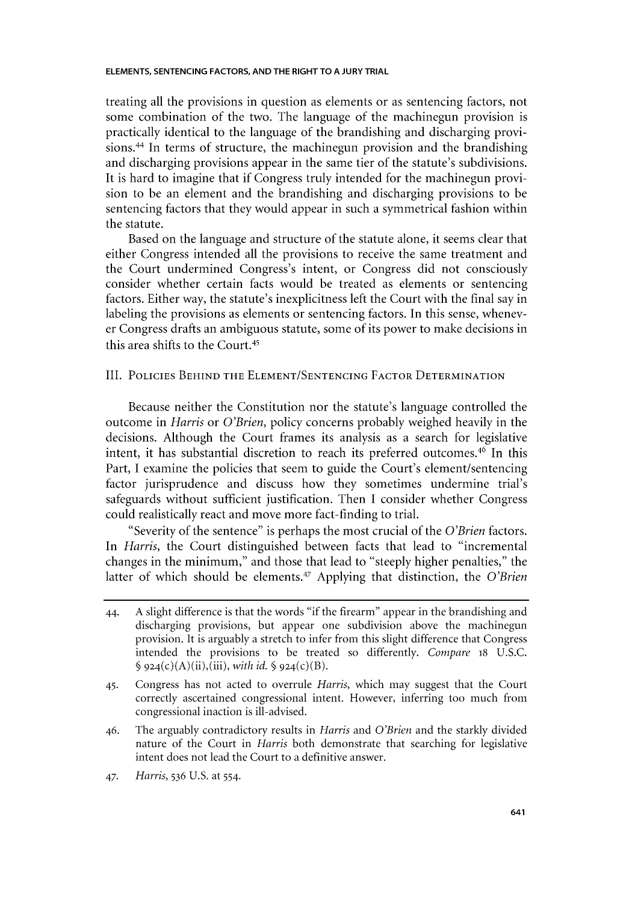## **ELEMENTS, SENTENCING FACTORS, AND THE RIGHT TO A JURY TRIAL**

treating all the provisions in question as elements or as sentencing factors, not some combination of the two. The language of the machinegun provision is practically identical to the language of the brandishing and discharging provisions. 44 In terms of structure, the machinegun provision and the brandishing and discharging provisions appear in the same tier of the statute's subdivisions. It is hard to imagine that if Congress truly intended for the machinegun provision to be an element and the brandishing and discharging provisions to be sentencing factors that they would appear in such a symmetrical fashion within the statute.

Based on the language and structure of the statute alone, it seems clear that either Congress intended all the provisions to receive the same treatment and the Court undermined Congress's intent, or Congress did not consciously consider whether certain facts would be treated as elements or sentencing factors. Either way, the statute's inexplicitness left the Court with the final say in labeling the provisions as elements or sentencing factors. In this sense, whenever Congress drafts an ambiguous statute, some of its power to make decisions in this area shifts to the Court.45

## III. **POLICIEs BEHIND THE ELEMENT/SENTENCING FACTOR DETERMINATION**

Because neither the Constitution nor the statute's language controlled the outcome in *Harris or O'Brien,* policy concerns probably weighed heavily in the decisions. Although the Court frames its analysis as a search for legislative intent, it has substantial discretion to reach its preferred outcomes.46 In this Part, I examine the policies that seem to guide the Court's element/sentencing factor jurisprudence and discuss how they sometimes undermine trial's safeguards without sufficient justification. Then **I** consider whether Congress could realistically react and move more fact-finding to trial.

"Severity of the sentence" is perhaps the most crucial of the *O'Brien* factors. *In Harris,* the Court distinguished between facts that lead to "incremental changes in the minimum," and those that lead to "steeply higher penalties," the latter of which should be elements.<sup>47</sup> Applying that distinction, the *O'Brien* 

- 46. The arguably contradictory results in *Harris and O'Brien* and the starkly divided nature of the Court in *Harris* both demonstrate that searching for legislative intent does not lead the Court to a definitive answer.
- 47. *Harris,* **536 U.S.** at 554.

<sup>44.</sup> **A** slight difference is that the words "if the firearm" appear in the brandishing and discharging provisions, but appear one subdivision above the machinegun provision. It is arguably a stretch to infer from this slight difference that Congress intended the provisions to be treated so differently. *Compare* **18 U.S.C.**  $\oint$  924(c)(A)(ii),(iii), *with id.*  $\oint$  924(c)(B).

<sup>45.</sup> Congress has not acted to overrule *Harris,* which may suggest that the Court correctly ascertained congressional intent. However, inferring too much from congressional inaction is ill-advised.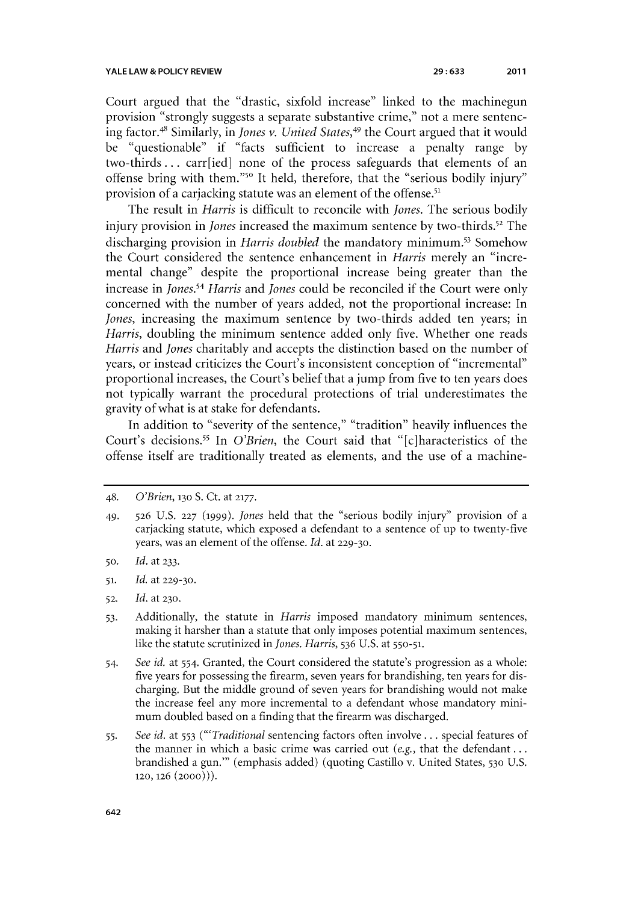Court argued that the "drastic, sixfold increase" linked to the machinegun provision "strongly suggests a separate substantive crime," not a mere sentencing factor.48 **Similarly,** in *Jones v. United States,49* the Court argued that it would **be** "questionable" if "facts sufficient to increase a penalty range **by** two-thirds **.** . **.** carr[ied] none of the process safeguards that elements of an offense bring with them."<sup>50</sup> It held, therefore, that the "serious bodily injury" provision of a carjacking statute was an element of the offense.<sup>51</sup>

The result in *Harris* is difficult to reconcile with *Jones.* The serious bodily injury provision in *Jones* increased the maximum sentence by two-thirds.<sup>52</sup> The discharging provision in *Harris doubled* the mandatory minimum.53 Somehow the Court considered the sentence enhancement in *Harris* merely an "incremental change" despite the proportional increase being greater than the increase in *Jones.54 Harris and Jones* could be reconciled if the Court were only concerned with the number of years added, not the proportional increase: In *Jones,* increasing the maximum sentence **by** two-thirds added ten years; in *Harris,* doubling the minimum sentence added only five. Whether one reads *Harris and Jones* charitably and accepts the distinction based on the number of years, or instead criticizes the Court's inconsistent conception of "incremental" proportional increases, the Court's belief that a jump from five to ten years does not typically warrant the procedural protections of trial underestimates the gravity of what is at stake for defendants.

In addition to "severity of the sentence," "tradition" heavily influences the Court's decisions.<sup>55</sup> In *O'Brien*, the Court said that "[c]haracteristics of the offense itself are traditionally treated as elements, and the use of a machine-

- **50.** *Id.* at **233.**
- **51.** *Id.* at **229-30.**
- **52.** *Id. at* **230.**
- **53.** Additionally, the statute in *Harris* imposed mandatory minimum sentences, making it harsher than a statute that only imposes potential maximum sentences, like the statute scrutinized in *Jones. Harris,* **536 U.S.** at **550-51.**
- 54. See *id.* at 554. Granted, the Court considered the statute's progression as a whole: five years for possessing the firearm, seven years for brandishing, ten years for discharging. But the middle ground of seven years for brandishing would not make the increase feel any more incremental to a defendant whose mandatory minimum doubled based on a finding that the firearm was discharged.
- **55.** *See id.* at **553** *("'Traditional* sentencing factors often involve **...** special features of the manner in which a basic crime was carried out *(e.g.,* that the defendant **...** brandished a gun."' (emphasis added) (quoting Castillo v. United States, **530 U.S. 120, 126 (2000))).**

<sup>48.</sup> *O'Brien,* **130 S.** Ct. at **2177.**

<sup>49.</sup> **526 U.S. 227** *(1999). Jones* held that the "serious bodily injury" provision of a carjacking statute, which exposed a defendant to a sentence of up to twenty-five years, was an element of the offense. *Id. at* **229-30.**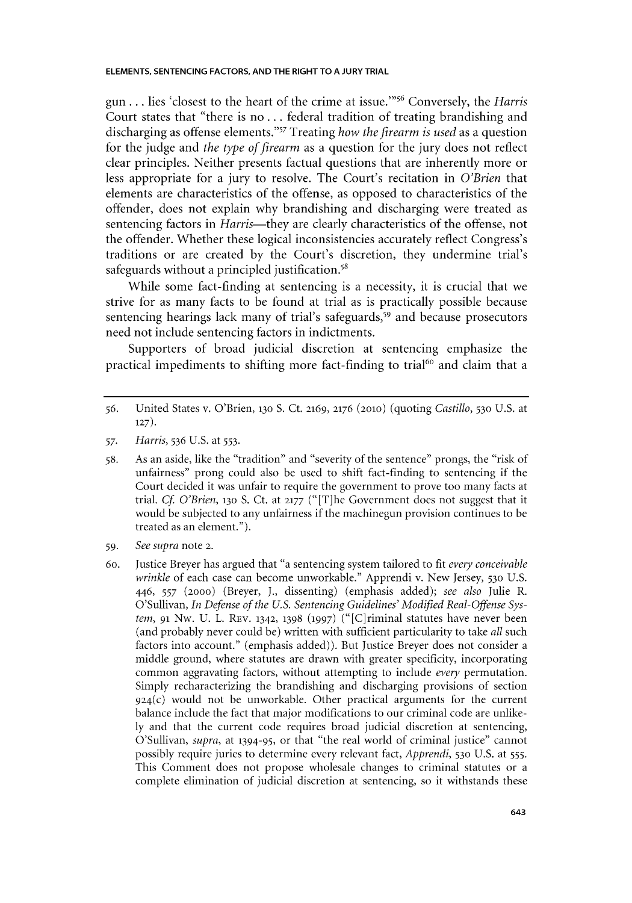gun **.** . **.** lies 'closest to the heart of the crime at issue."" 6 Conversely, the *Harris* Court states that "there is no **...** federal tradition of treating brandishing and discharging as offense elements." 7 Treating *how the firearm is used* as a question for the **judge** and *the type of firearm* as a question for the jury does not reflect clear principles. Neither presents factual questions that are inherently more or less appropriate for a jury to resolve. The Court's recitation in *O'Brien* that elements are characteristics of the offense, as opposed to characteristics of the offender, does not explain why brandishing and discharging were treated as sentencing factors in *Harris*—they are clearly characteristics of the offense, not the offender. Whether these logical inconsistencies accurately reflect Congress's traditions or are created **by** the Court's discretion, they undermine trial's safeguards without a principled justification. $58$ 

While some fact-finding at sentencing is a necessity, it is crucial that we strive for as many facts to be found at trial as is practically possible because sentencing hearings lack many of trial's safeguards,<sup>59</sup> and because prosecutors need not include sentencing factors in indictments.

Supporters of broad judicial discretion at sentencing emphasize the practical impediments to shifting more fact-finding to trial<sup>60</sup> and claim that a

*57. Harris, 536* **U.S.** at *553.*

**58.** As an aside, like the "tradition" and "severity of the sentence" prongs, the "risk of unfairness" prong could also **be** used to shift fact-finding to sentencing if the Court decided it was unfair to require the government to prove too many facts at trial. *Cf O'Brien,* **130 S.** Ct. at **2177** ("[T]he Government does not suggest that it would be subjected to any unfairness if the machinegun provision continues to be treated as an element.").

- **59.** *See supra* note **2.**
- 60. Justice Breyer has argued that "a sentencing system tailored to fit *every conceivable wrinkle* of each case can become unworkable." Apprendi v. New Jersey, **530 U.S.** *446, 557* **(2000)** (Breyer, **J.,** dissenting) (emphasis added); *see also* Julie R. O'Sullivan, *In Defense of the U.S. Sentencing Guidelines' Modified Real-Offense Sys*tern, **91** Nw. **U.** L. **REV. 1342, 1398 (1997)** ("[C]riminal statutes have never been (and probably never could be) written with sufficient particularity to take *all* such factors into account." (emphasis added)). But Justice Breyer does not consider a middle ground, where statutes are drawn with greater specificity, incorporating common aggravating factors, without attempting to include *every* permutation. Simply recharacterizing the brandishing and discharging provisions of section **924(c)** would not be unworkable. Other practical arguments for the current balance include the fact that major modifications to our criminal code are unlike**ly** and that the current code requires broad judicial discretion at sentencing, O'Sullivan, *supra,* at **1394-95,** or that "the real world of criminal justice" cannot possibly require juries to determine every relevant fact, *Apprendi,* **530 U.S.** at **555.** This Comment does not propose wholesale changes to criminal statutes or a complete elimination of judicial discretion at sentencing, so it withstands these

*<sup>56.</sup>* United States v. O'Brien, **130 S.** Ct. **2169, 2176 (2010)** (quoting *Castillo,* **530 U.S.** at **127).**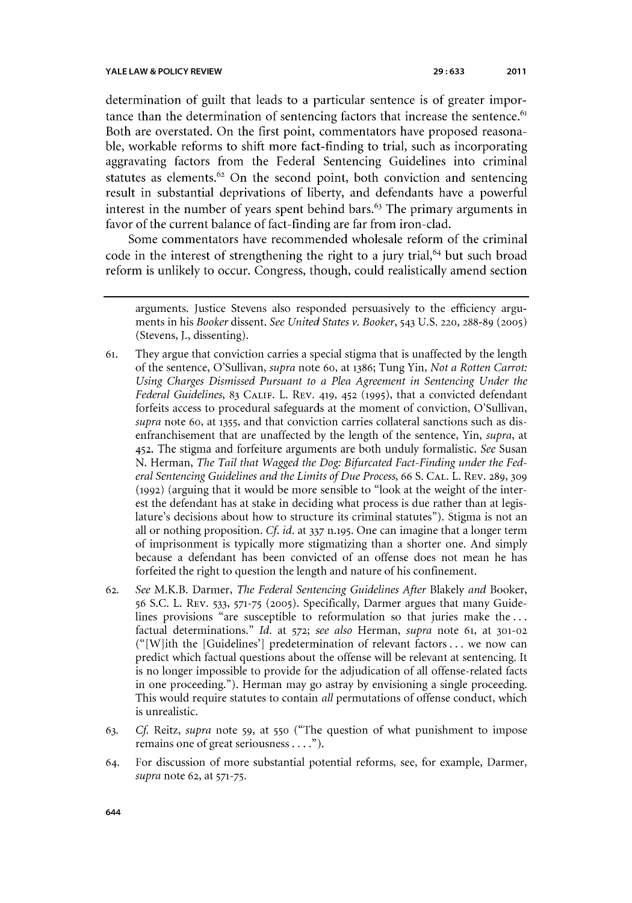determination of guilt that leads to a particular sentence is of greater importance than the determination of sentencing factors that increase the sentence. $61$ Both are overstated. On the first point, commentators have proposed reasona**ble,** workable reforms to shift more fact-finding to trial, such as incorporating aggravating factors from the Federal Sentencing Guidelines into criminal statutes as elements.<sup>62</sup> On the second point, both conviction and sentencing result in substantial deprivations of liberty, and defendants have a powerful interest in the number of years spent behind bars.<sup> $63$ </sup> The primary arguments in favor of the current balance of fact-finding are far from iron-clad.

Some commentators have recommended wholesale reform of the criminal code in the interest of strengthening the right to a jury trial,<sup>64</sup> but such broad reform is unlikely to occur. Congress, though, **could** realistically amend section

- 61. They argue that conviction carries a special stigma that is unaffected **by** the length of the sentence, O'Sullivan, *supra* note 60, at **1386;** Tung Yin, *Not a Rotten Carrot: Using Charges Dismissed Pursuant to a Plea Agreement in Sentencing Under the Federal Guidelines,* **83 CALIF.** L. REV. **419, 452 (1995),** that a convicted defendant forfeits access to procedural safeguards at the moment of conviction, O'Sullivan, *supra* note 60, at **1355,** and that conviction carries collateral sanctions such as disenfranchisement that are unaffected **by** the length of the sentence, Yin, *supra, at* **452.** The stigma and forfeiture arguments are both unduly formalistic. *See* Susan **N.** Herman, *The Tail that Wagged the Dog: Bifurcated Fact-Finding under the Federal Sentencing Guidelines and the Limits of Due Process,* **66 S. CAL.** L. **REV. 289, 309 (1992)** (arguing that it would be more sensible to "look at the weight of the interest the defendant has at stake in deciding what process is due rather than at legislature's decisions about how to structure its criminal statutes"). Stigma is not an all or nothing proposition. *Cf. id.* at **337 n.195.** One can imagine that a longer term of imprisonment is typically more stigmatizing than a shorter one. And simply because a defendant has been convicted of an offense does not mean he has forfeited the right to question the length and nature of his confinement.
- **62.** *See* M.K.B. Darmer, *The Federal Sentencing Guidelines After Blakely and* Booker, **56 S.C.** L. REV. *533,* **571-75 (2005).** Specifically, Darmer argues that many Guidelines provisions "are susceptible to reformulation so that juries make the **...** factual determinations." *Id.* at **572;** *see also Herman, supra* note 61, at **301-02 ("** [W]ith the [Guidelines'] predetermination of relevant factors **...** we now can predict which factual questions about the offense will be relevant at sentencing. It is no longer impossible to provide for the adjudication of all offense-related facts in one proceeding."). Herman may go astray **by** envisioning a single proceeding. This would require statutes to contain *all* permutations of offense conduct, which is unrealistic.
- **63.** *Cf Reitz, supra* note **59,** at **550** ("The question of what punishment to impose remains one of great seriousness **. . . .").**
- 64. For discussion of more substantial potential reforms, see, for example, Darmer, *supra* note **62,** at *571-75.*

arguments. Justice Stevens also responded persuasively to the efficiency arguments in his *Booker dissent. See United States v. Booker,* 543 **U.S. 220, 288-89 (2005)** (Stevens, **J.,** dissenting).